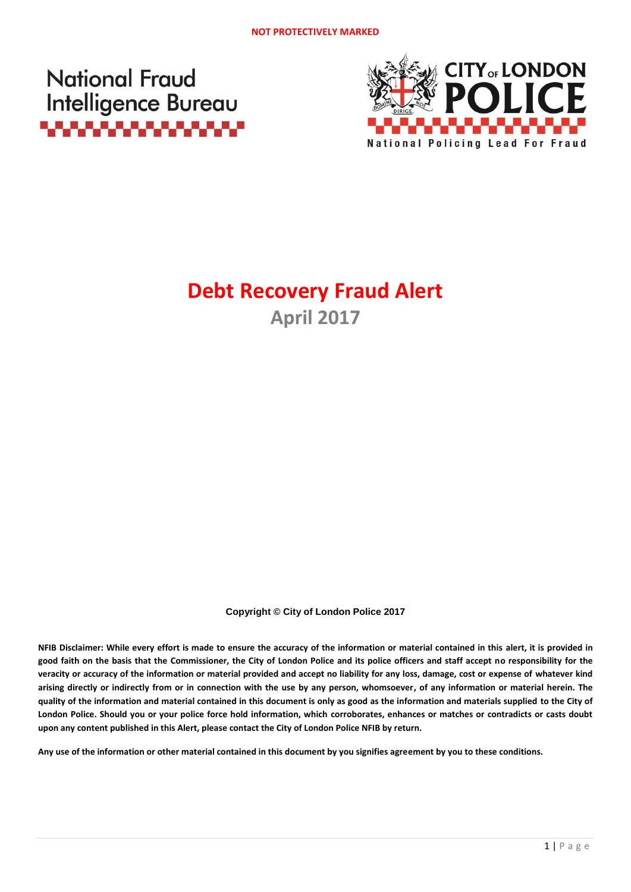**National Fraud Intelligence Bureau** <u>. . . . . . . . . . . . . .</u>



# **Debt Recovery Fraud Alert April 2017**

**Copyright © City of London Police 2017**

**NFIB Disclaimer: While every effort is made to ensure the accuracy of the information or material contained in this alert, it is provided in good faith on the basis that the Commissioner, the City of London Police and its police officers and staff accept no responsibility for the veracity or accuracy of the information or material provided and accept no liability for any loss, damage, cost or expense of whatever kind arising directly or indirectly from or in connection with the use by any person, whomsoever, of any information or material herein. The quality of the information and material contained in this document is only as good as the information and materials supplied to the City of London Police. Should you or your police force hold information, which corroborates, enhances or matches or contradicts or casts doubt upon any content published in this Alert, please contact the City of London Police NFIB by return.**

**Any use of the information or other material contained in this document by you signifies agreement by you to these conditions.**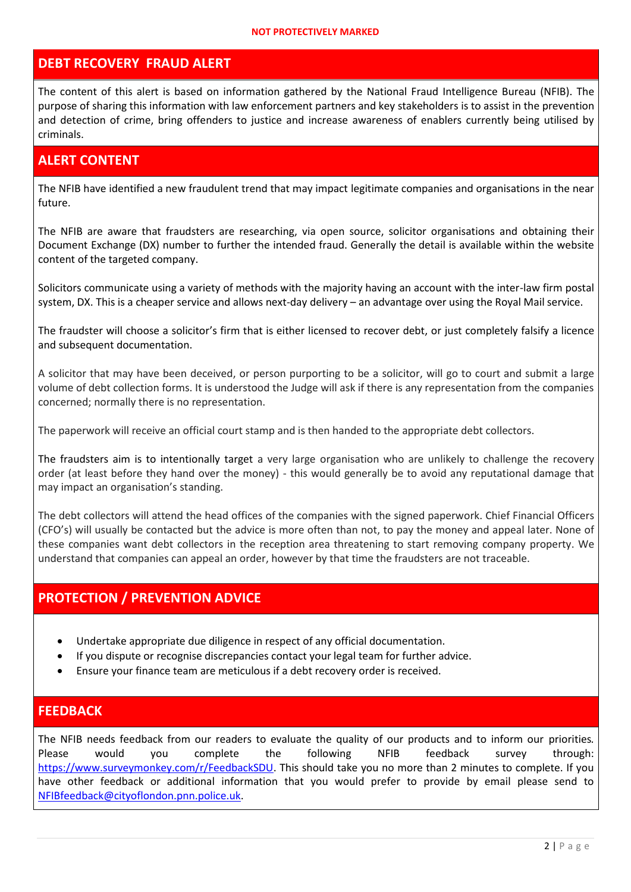#### **NOT PROTECTIVELY MARKED**

#### **DEBT RECOVERY FRAUD ALERT**

The content of this alert is based on information gathered by the National Fraud Intelligence Bureau (NFIB). The purpose of sharing this information with law enforcement partners and key stakeholders is to assist in the prevention and detection of crime, bring offenders to justice and increase awareness of enablers currently being utilised by criminals.

#### **ALERT CONTENT**

The NFIB have identified a new fraudulent trend that may impact legitimate companies and organisations in the near future.

The NFIB are aware that fraudsters are researching, via open source, solicitor organisations and obtaining their Document Exchange (DX) number to further the intended fraud. Generally the detail is available within the website content of the targeted company.

Solicitors communicate using a variety of methods with the majority having an account with the inter-law firm postal system, DX. This is a cheaper service and allows next-day delivery – an advantage over using the Royal Mail service.

The fraudster will choose a solicitor's firm that is either licensed to recover debt, or just completely falsify a licence and subsequent documentation.

A solicitor that may have been deceived, or person purporting to be a solicitor, will go to court and submit a large volume of debt collection forms. It is understood the Judge will ask if there is any representation from the companies concerned; normally there is no representation.

The paperwork will receive an official court stamp and is then handed to the appropriate debt collectors.

The fraudsters aim is to intentionally target a very large organisation who are unlikely to challenge the recovery order (at least before they hand over the money) - this would generally be to avoid any reputational damage that may impact an organisation's standing.

The debt collectors will attend the head offices of the companies with the signed paperwork. Chief Financial Officers (CFO's) will usually be contacted but the advice is more often than not, to pay the money and appeal later. None of these companies want debt collectors in the reception area threatening to start removing company property. We understand that companies can appeal an order, however by that time the fraudsters are not traceable.

### **PROTECTION / PREVENTION ADVICE**

- Undertake appropriate due diligence in respect of any official documentation.
- If you dispute or recognise discrepancies contact your legal team for further advice.
- Ensure your finance team are meticulous if a debt recovery order is received.

#### **FEEDBACK**

The NFIB needs feedback from our readers to evaluate the quality of our products and to inform our priorities*.* Please would you complete the following NFIB feedback survey through: [https://www.surveymonkey.com/r/FeedbackSDU.](https://www.surveymonkey.com/r/FeedbackSDU) This should take you no more than 2 minutes to complete. If you have other feedback or additional information that you would prefer to provide by email please send to [NFIBfeedback@cityoflondon.pnn.police.uk.](mailto:NFIBfeedback@cityoflondon.pnn.police.uk)